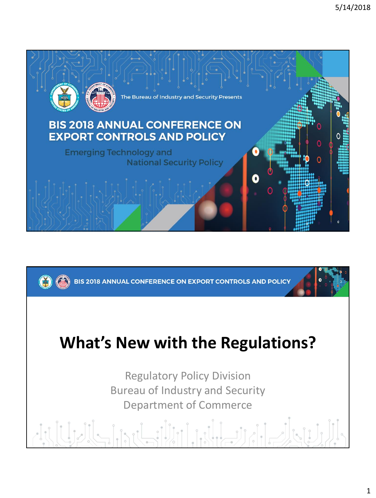

BIS 2018 ANNUAL CONFERENCE ON EXPORT CONTROLS AND POLICY

#### **What's New with the Regulations?**

Regulatory Policy Division Bureau of Industry and Security Department of Commerce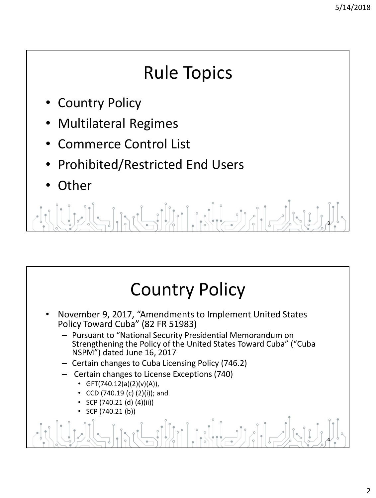# Rule Topics

- **Country Policy**
- Multilateral Regimes
- Commerce Control List
- Prohibited/Restricted End Users
- **Other**

 $\int_{0}^{\infty} \left| \int_{0}^{\infty} \right|^{2} \left| \int_{0}^{\infty} \right|^{2} \left| \int_{0}^{\infty} \right|^{2} \left| \int_{0}^{\infty} \right|^{2} \left| \int_{0}^{\infty} \right|^{2} \left| \int_{0}^{\infty} \right|^{2} \left| \int_{0}^{\infty} \right|^{2} \left| \int_{0}^{\infty} \right|^{2} \left| \int_{0}^{\infty} \right|^{2} \left| \int_{0}^{\infty} \right|^{2} \left| \int_{0}^{\infty} \right|^{2} \$  $\frac{1}{2}$ 3

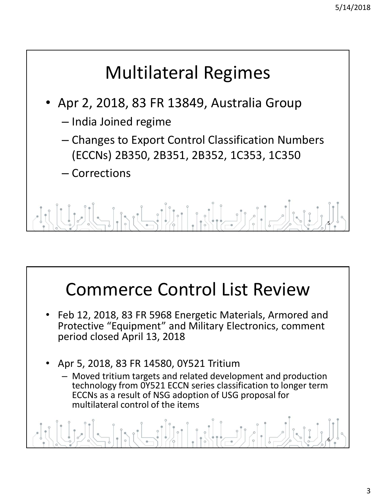## Multilateral Regimes

- Apr 2, 2018, 83 FR 13849, Australia Group
	- India Joined regime
	- Changes to Export Control Classification Numbers (ECCNs) 2B350, 2B351, 2B352, 1C353, 1C350
	- Corrections

5

### Commerce Control List Review

- Feb 12, 2018, 83 FR 5968 Energetic Materials, Armored and Protective "Equipment" and Military Electronics, comment period closed April 13, 2018
- Apr 5, 2018, 83 FR 14580, 0Y521 Tritium
	- Moved tritium targets and related development and production technology from 0Y521 ECCN series classification to longer term ECCNs as a result of NSG adoption of USG proposal for multilateral control of the items

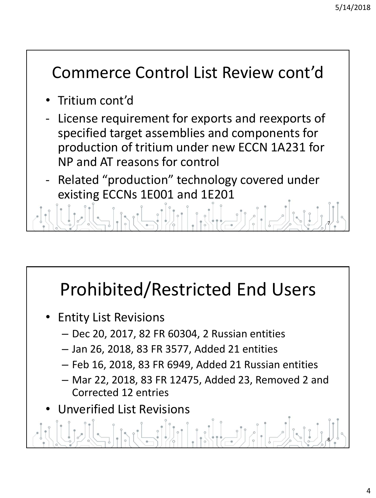#### Commerce Control List Review cont'd

- Tritium cont'd
- License requirement for exports and reexports of specified target assemblies and components for production of tritium under new ECCN 1A231 for NP and AT reasons for control
- Related "production" technology covered under existing ECCNs 1E001 and 1E201

7

# Prohibited/Restricted End Users

- Entity List Revisions
	- Dec 20, 2017, 82 FR 60304, 2 Russian entities
	- Jan 26, 2018, 83 FR 3577, Added 21 entities
	- Feb 16, 2018, 83 FR 6949, Added 21 Russian entities
	- Mar 22, 2018, 83 FR 12475, Added 23, Removed 2 and Corrected 12 entries

pul illia del grand

• Unverified List Revisions

8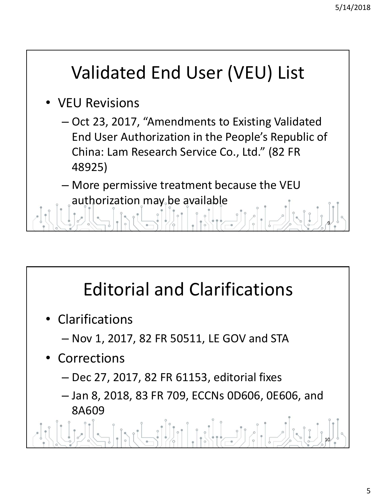9

# Validated End User (VEU) List

- VEU Revisions
	- Oct 23, 2017, "Amendments to Existing Validated End User Authorization in the People's Republic of China: Lam Research Service Co., Ltd." (82 FR 48925)

– More permissive treatment because the VEU authorization may be available

Editorial and Clarifications

- Clarifications
	- Nov 1, 2017, 82 FR 50511, LE GOV and STA
- Corrections
	- Dec 27, 2017, 82 FR 61153, editorial fixes
	- Jan 8, 2018, 83 FR 709, ECCNs 0D606, 0E606, and 8A609

10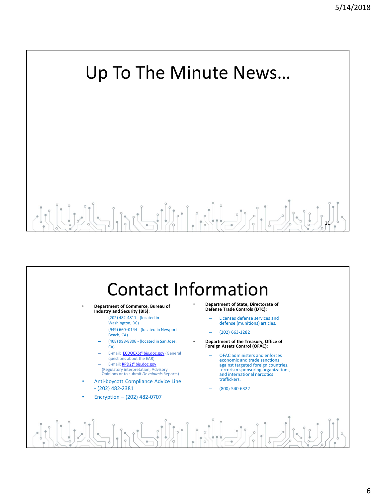# Up To The Minute News… 11



#### • **Department of Commerce, Bureau of Industry and Security (BIS)**:

- (202) 482-4811 (located in Washington, DC)
- (949) 660–0144 (located in Newport Beach, CA)
- (408) 998-8806 (located in San Jose, CA)
- E-mail: **[ECDOEXS@bis.doc.gov](mailto:ECDOEXS@bis.doc.gov)** (General questions about the EAR)
- E-mail: [RPD2@bis.doc.gov](mailto:RPD2@bis.doc.gov)
- (Regulatory interpretation, Advisory Opinions or to submit *De minimis* Reports)
- Anti-boycott Compliance Advice Line - (202) 482-2381
- Encryption (202) 482-0707
- **Department of State, Directorate of Defense Trade Controls (DTC):**
	- Licenses defense services and defense (munitions) articles.
	- (202) 663-1282
- **Department of the Treasury, Office of Foreign Assets Control (OFAC):**
	- OFAC administers and enforces economic and trade sanctions against targeted foreign countries, terrorism sponsoring organizations, and international narcotics traffickers.
	- (800) 540-6322